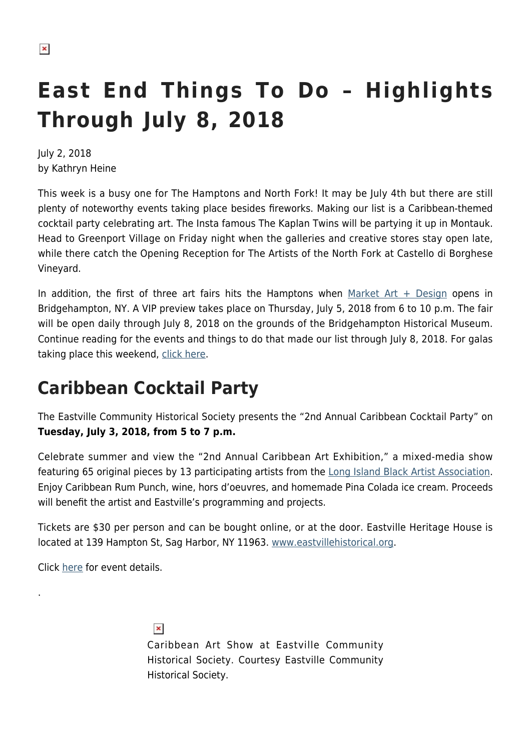# **East End Things To Do – Highlights Through July 8, 2018**

July 2, 2018 by Kathryn Heine

This week is a busy one for The Hamptons and North Fork! It may be July 4th but there are still plenty of noteworthy events taking place besides fireworks. Making our list is a Caribbean-themed cocktail party celebrating art. The Insta famous The Kaplan Twins will be partying it up in Montauk. Head to Greenport Village on Friday night when the galleries and creative stores stay open late, while there catch the Opening Reception for The Artists of the North Fork at Castello di Borghese Vineyard.

In addition, the first of three art fairs hits the Hamptons when  $Market Art + Design opens in$ Bridgehampton, NY. A VIP preview takes place on Thursday, July 5, 2018 from 6 to 10 p.m. The fair will be open daily through July 8, 2018 on the grounds of the Bridgehampton Historical Museum. Continue reading for the events and things to do that made our list through July 8, 2018. For galas taking place this weekend, [click here.](https://hamptonsarthub.com/2018/07/02/events-east-end-benefit-round-up-july-2018/)

# **Caribbean Cocktail Party**

The Eastville Community Historical Society presents the "2nd Annual Caribbean Cocktail Party" on **Tuesday, July 3, 2018, from 5 to 7 p.m.**

Celebrate summer and view the "2nd Annual Caribbean Art Exhibition," a mixed-media show featuring 65 original pieces by 13 participating artists from the [Long Island Black Artist Association.](http://www.liblackartists.com) Enjoy Caribbean Rum Punch, wine, hors d'oeuvres, and homemade Pina Colada ice cream. Proceeds will benefit the artist and Eastville's programming and projects.

Tickets are \$30 per person and can be bought online, or at the door. Eastville Heritage House is located at 139 Hampton St, Sag Harbor, NY 11963. [www.eastvillehistorical.org](https://www.eastvillehistorical.org/).

Click [here](https://www.eastvillehistorical.org/events) for event details.

.

#### $\pmb{\times}$

Caribbean Art Show at Eastville Community Historical Society. Courtesy Eastville Community Historical Society.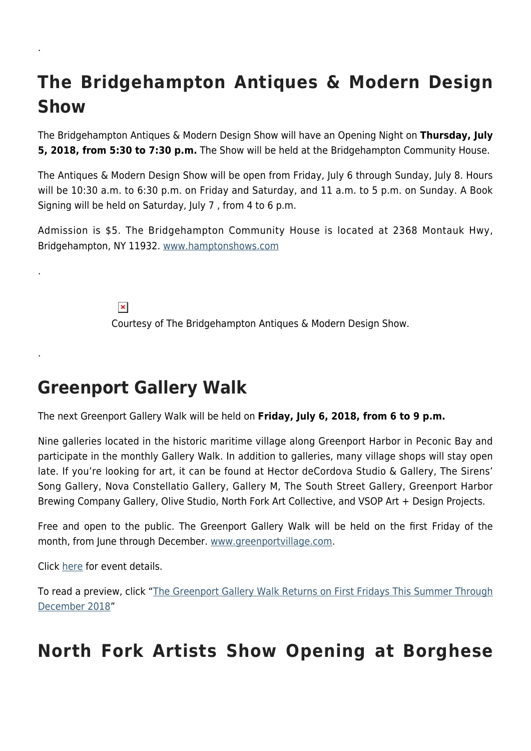# **The Bridgehampton Antiques & Modern Design Show**

The Bridgehampton Antiques & Modern Design Show will have an Opening Night on **Thursday, July 5, 2018, from 5:30 to 7:30 p.m.** The Show will be held at the Bridgehampton Community House.

The Antiques & Modern Design Show will be open from Friday, July 6 through Sunday, July 8. Hours will be 10:30 a.m. to 6:30 p.m. on Friday and Saturday, and 11 a.m. to 5 p.m. on Sunday. A Book Signing will be held on Saturday, July 7 , from 4 to 6 p.m.

Admission is \$5. The Bridgehampton Community House is located at 2368 Montauk Hwy, Bridgehampton, NY 11932. [www.hamptonshows.com](http://hamptonshows.com/index.html)

> $\pmb{\times}$ Courtesy of The Bridgehampton Antiques & Modern Design Show.

# **Greenport Gallery Walk**

The next Greenport Gallery Walk will be held on **Friday, July 6, 2018, from 6 to 9 p.m.**

Nine galleries located in the historic maritime village along Greenport Harbor in Peconic Bay and participate in the monthly Gallery Walk. In addition to galleries, many village shops will stay open late. If you're looking for art, it can be found at Hector deCordova Studio & Gallery, The Sirens' Song Gallery, Nova Constellatio Gallery, Gallery M, The South Street Gallery, Greenport Harbor Brewing Company Gallery, Olive Studio, North Fork Art Collective, and VSOP Art + Design Projects.

Free and open to the public. The Greenport Gallery Walk will be held on the first Friday of the month, from June through December. [www.greenportvillage.com.](http://www.greenportvillage.com/)

Click [here](http://www.greenportvillage.com/event/greenport-gallery-walk/) for event details.

.

.

.

To read a preview, click "[The Greenport Gallery Walk Returns on First Fridays This Summer Through](https://hamptonsarthub.com/2018/05/23/events-the-greenport-gallery-walk-returns-on-first-fridays-this-summer-through-december-2018/) [December 2018"](https://hamptonsarthub.com/2018/05/23/events-the-greenport-gallery-walk-returns-on-first-fridays-this-summer-through-december-2018/)

# **North Fork Artists Show Opening at Borghese**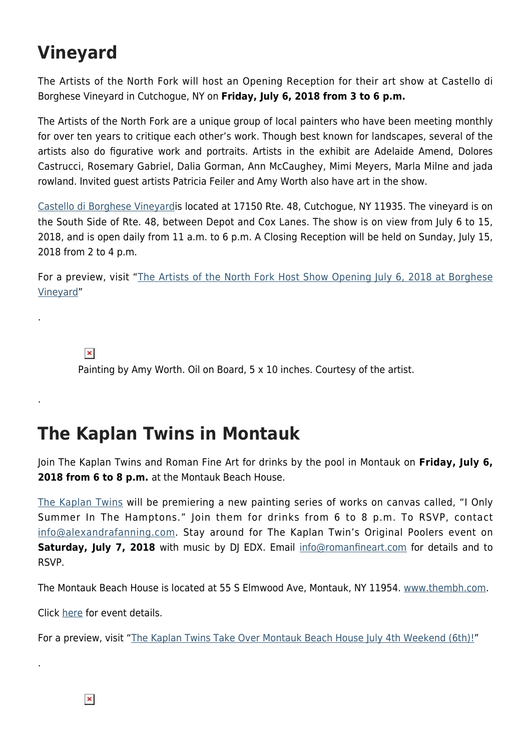# **Vineyard**

The Artists of the North Fork will host an Opening Reception for their art show at Castello di Borghese Vineyard in Cutchogue, NY on **Friday, July 6, 2018 from 3 to 6 p.m.**

The Artists of the North Fork are a unique group of local painters who have been meeting monthly for over ten years to critique each other's work. Though best known for landscapes, several of the artists also do figurative work and portraits. Artists in the exhibit are Adelaide Amend, Dolores Castrucci, Rosemary Gabriel, Dalia Gorman, Ann McCaughey, Mimi Meyers, Marla Milne and jada rowland. Invited guest artists Patricia Feiler and Amy Worth also have art in the show.

[Castello di Borghese Vineyard](https://castellodiborghese.com/)is located at 17150 Rte. 48, Cutchogue, NY 11935. The vineyard is on the South Side of Rte. 48, between Depot and Cox Lanes. The show is on view from July 6 to 15, 2018, and is open daily from 11 a.m. to 6 p.m. A Closing Reception will be held on Sunday, July 15, 2018 from 2 to 4 p.m.

For a preview, visit "[The Artists of the North Fork Host Show Opening July 6, 2018 at Borghese](https://hamptonsarthub.com/2018/07/03/exhibitions-artists-of-the-north-fork-opening-reception/) [Vineyard"](https://hamptonsarthub.com/2018/07/03/exhibitions-artists-of-the-north-fork-opening-reception/)

 $\pmb{\times}$ 

.

.

.

Painting by Amy Worth. Oil on Board, 5 x 10 inches. Courtesy of the artist.

#### **The Kaplan Twins in Montauk**

Join The Kaplan Twins and Roman Fine Art for drinks by the pool in Montauk on **Friday, July 6, 2018 from 6 to 8 p.m.** at the Montauk Beach House.

[The Kaplan Twins](http://www.thekaplantwins.com) will be premiering a new painting series of works on canvas called, "I Only Summer In The Hamptons." Join them for drinks from 6 to 8 p.m. To RSVP, contact [info@alexandrafanning.com.](mailto:info@alexandrafanning.com) Stay around for The Kaplan Twin's Original Poolers event on **Saturday, July 7, 2018** with music by DJ EDX. Email [info@romanfineart.com](mailto:info@romanfineart.com) for details and to RSVP.

The Montauk Beach House is located at 55 S Elmwood Ave, Montauk, NY 11954. [www.thembh.com](http://thembh.com/).

Click [here](http://thembh.com/event-directory/) for event details.

For a preview, visit ["The Kaplan Twins Take Over Montauk Beach House July 4th Weekend \(6th\)!"](https://hamptonsarthub.com/2018/06/29/events-the-kaplan-twins-take-over-montauk-beach-house-july-4th-weekend-6th/)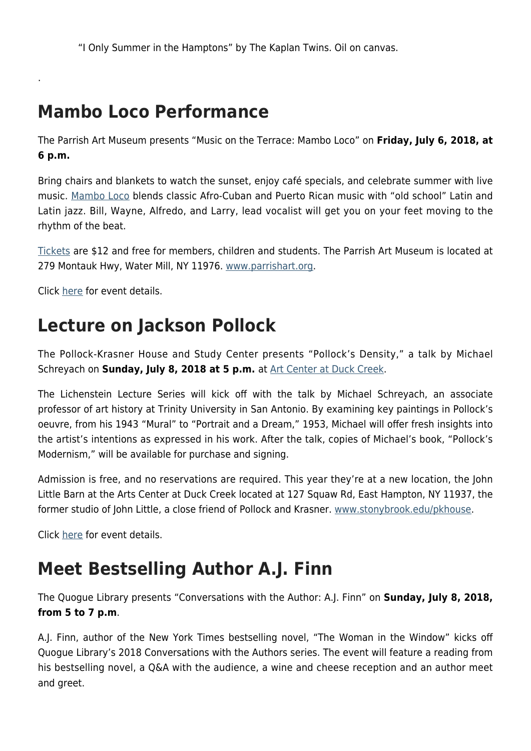"I Only Summer in the Hamptons" by The Kaplan Twins. Oil on canvas.

#### **Mambo Loco Performance**

The Parrish Art Museum presents "Music on the Terrace: Mambo Loco" on **Friday, July 6, 2018, at 6 p.m.**

Bring chairs and blankets to watch the sunset, enjoy café specials, and celebrate summer with live music. [Mambo Loco](http://www.mamboloco.com) blends classic Afro-Cuban and Puerto Rican music with "old school" Latin and Latin jazz. Bill, Wayne, Alfredo, and Larry, lead vocalist will get you on your feet moving to the rhythm of the beat.

[Tickets](https://327.blackbaudhosting.com/327/tickets?tab=2&txobjid=bc993d29-db01-4775-8b4b-802da36ade28) are \$12 and free for members, children and students. The Parrish Art Museum is located at 279 Montauk Hwy, Water Mill, NY 11976. [www.parrishart.org](http://parrishart.org/).

Click [here](http://parrishart.org/programs/2499) for event details.

.

# **Lecture on Jackson Pollock**

The Pollock-Krasner House and Study Center presents "Pollock's Density," a talk by Michael Schreyach on **Sunday, July 8, 2018 at 5 p.m.** at [Art Center at Duck Creek](https://www.duckcreekarts.org).

The Lichenstein Lecture Series will kick off with the talk by Michael Schreyach, an associate professor of art history at Trinity University in San Antonio. By examining key paintings in Pollock's oeuvre, from his 1943 "Mural" to "Portrait and a Dream," 1953, Michael will offer fresh insights into the artist's intentions as expressed in his work. After the talk, copies of Michael's book, "Pollock's Modernism," will be available for purchase and signing.

Admission is free, and no reservations are required. This year they're at a new location, the John Little Barn at the Arts Center at Duck Creek located at 127 Squaw Rd, East Hampton, NY 11937, the former studio of John Little, a close friend of Pollock and Krasner. [www.stonybrook.edu/pkhouse](https://www.stonybrook.edu/commcms/pkhouse).

Click [here](https://www.stonybrook.edu/commcms/pkhouse/calendar.php) for event details.

# **Meet Bestselling Author A.J. Finn**

The Quogue Library presents "Conversations with the Author: A.J. Finn" on **Sunday, July 8, 2018, from 5 to 7 p.m**.

A.J. Finn, author of the New York Times bestselling novel, "The Woman in the Window" kicks off Quogue Library's 2018 Conversations with the Authors series. The event will feature a reading from his bestselling novel, a Q&A with the audience, a wine and cheese reception and an author meet and greet.